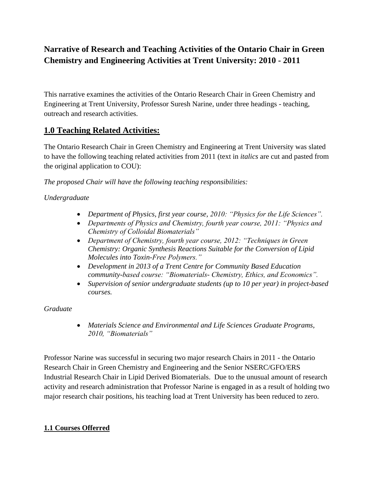# **Narrative of Research and Teaching Activities of the Ontario Chair in Green Chemistry and Engineering Activities at Trent University: 2010 - 2011**

This narrative examines the activities of the Ontario Research Chair in Green Chemistry and Engineering at Trent University, Professor Suresh Narine, under three headings - teaching, outreach and research activities.

# **1.0 Teaching Related Activities:**

The Ontario Research Chair in Green Chemistry and Engineering at Trent University was slated to have the following teaching related activities from 2011 (text in *italics* are cut and pasted from the original application to COU):

*The proposed Chair will have the following teaching responsibilities:*

# *Undergraduate*

- *Department of Physics, first year course, 2010: "Physics for the Life Sciences".*
- *Departments of Physics and Chemistry, fourth year course, 2011: "Physics and Chemistry of Colloidal Biomaterials"*
- *Department of Chemistry, fourth year course, 2012: "Techniques in Green Chemistry: Organic Synthesis Reactions Suitable for the Conversion of Lipid Molecules into Toxin-Free Polymers."*
- *Development in 2013 of a Trent Centre for Community Based Education community-based course: "Biomaterials- Chemistry, Ethics, and Economics".*
- *Supervision of senior undergraduate students (up to 10 per year) in project-based courses.*

# *Graduate*

 *Materials Science and Environmental and Life Sciences Graduate Programs, 2010, "Biomaterials"*

Professor Narine was successful in securing two major research Chairs in 2011 - the Ontario Research Chair in Green Chemistry and Engineering and the Senior NSERC/GFO/ERS Industrial Research Chair in Lipid Derived Biomaterials. Due to the unusual amount of research activity and research administration that Professor Narine is engaged in as a result of holding two major research chair positions, his teaching load at Trent University has been reduced to zero.

# **1.1 Courses Offerred**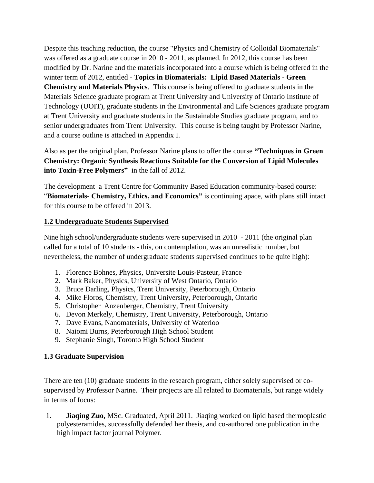Despite this teaching reduction, the course "Physics and Chemistry of Colloidal Biomaterials" was offered as a graduate course in 2010 - 2011, as planned. In 2012, this course has been modified by Dr. Narine and the materials incorporated into a course which is being offered in the winter term of 2012, entitled - **Topics in Biomaterials: Lipid Based Materials - Green Chemistry and Materials Physics**. This course is being offered to graduate students in the Materials Science graduate program at Trent University and University of Ontario Institute of Technology (UOIT), graduate students in the Environmental and Life Sciences graduate program at Trent University and graduate students in the Sustainable Studies graduate program, and to senior undergraduates from Trent University. This course is being taught by Professor Narine, and a course outline is attached in Appendix I.

Also as per the original plan, Professor Narine plans to offer the course **"Techniques in Green Chemistry: Organic Synthesis Reactions Suitable for the Conversion of Lipid Molecules into Toxin-Free Polymers"** in the fall of 2012.

The development a Trent Centre for Community Based Education community-based course: "**Biomaterials- Chemistry, Ethics, and Economics"** is continuing apace, with plans still intact for this course to be offered in 2013.

### **1.2 Undergraduate Students Supervised**

Nine high school/undergraduate students were supervised in 2010 - 2011 (the original plan called for a total of 10 students - this, on contemplation, was an unrealistic number, but nevertheless, the number of undergraduate students supervised continues to be quite high):

- 1. Florence Bohnes, Physics, Universite Louis-Pasteur, France
- 2. Mark Baker, Physics, University of West Ontario, Ontario
- 3. Bruce Darling, Physics, Trent University, Peterborough, Ontario
- 4. Mike Floros, Chemistry, Trent University, Peterborough, Ontario
- 5. Christopher Anzenberger, Chemistry, Trent University
- 6. Devon Merkely, Chemistry, Trent University, Peterborough, Ontario
- 7. Dave Evans, Nanomaterials, University of Waterloo
- 8. Naiomi Burns, Peterborough High School Student
- 9. Stephanie Singh, Toronto High School Student

# **1.3 Graduate Supervision**

There are ten (10) graduate students in the research program, either solely supervised or cosupervised by Professor Narine. Their projects are all related to Biomaterials, but range widely in terms of focus:

1. **Jiaqing Zuo,** MSc. Graduated, April 2011. Jiaqing worked on lipid based thermoplastic polyesteramides, successfully defended her thesis, and co-authored one publication in the high impact factor journal Polymer.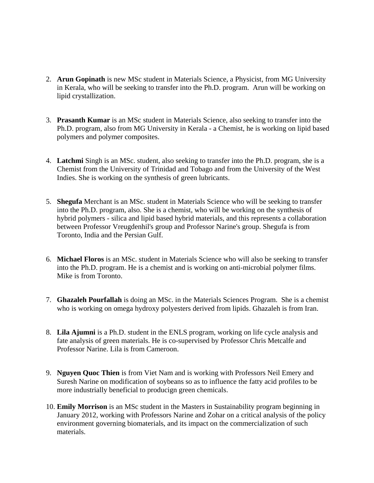- 2. **Arun Gopinath** is new MSc student in Materials Science, a Physicist, from MG University in Kerala, who will be seeking to transfer into the Ph.D. program. Arun will be working on lipid crystallization.
- 3. **Prasanth Kumar** is an MSc student in Materials Science, also seeking to transfer into the Ph.D. program, also from MG University in Kerala - a Chemist, he is working on lipid based polymers and polymer composites.
- 4. **Latchmi** Singh is an MSc. student, also seeking to transfer into the Ph.D. program, she is a Chemist from the University of Trinidad and Tobago and from the University of the West Indies. She is working on the synthesis of green lubricants.
- 5. **Shegufa** Merchant is an MSc. student in Materials Science who will be seeking to transfer into the Ph.D. program, also. She is a chemist, who will be working on the synthesis of hybrid polymers - silica and lipid based hybrid materials, and this represents a collaboration between Professor Vreugdenhil's group and Professor Narine's group. Shegufa is from Toronto, India and the Persian Gulf.
- 6. **Michael Floros** is an MSc. student in Materials Science who will also be seeking to transfer into the Ph.D. program. He is a chemist and is working on anti-microbial polymer films. Mike is from Toronto.
- 7. **Ghazaleh Pourfallah** is doing an MSc. in the Materials Sciences Program. She is a chemist who is working on omega hydroxy polyesters derived from lipids. Ghazaleh is from Iran.
- 8. **Lila Ajumni** is a Ph.D. student in the ENLS program, working on life cycle analysis and fate analysis of green materials. He is co-supervised by Professor Chris Metcalfe and Professor Narine. Lila is from Cameroon.
- 9. **Nguyen Quoc Thien** is from Viet Nam and is working with Professors Neil Emery and Suresh Narine on modification of soybeans so as to influence the fatty acid profiles to be more industrially beneficial to producign green chemicals.
- 10. **Emily Morrison** is an MSc student in the Masters in Sustainability program beginning in January 2012, working with Professors Narine and Zohar on a critical analysis of the policy environment governing biomaterials, and its impact on the commercialization of such materials.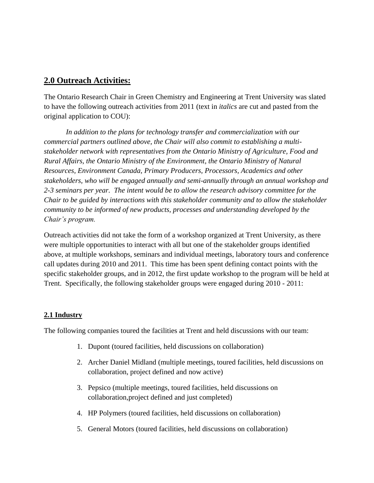# **2.0 Outreach Activities:**

The Ontario Research Chair in Green Chemistry and Engineering at Trent University was slated to have the following outreach activities from 2011 (text in *italics* are cut and pasted from the original application to COU):

*In addition to the plans for technology transfer and commercialization with our commercial partners outlined above, the Chair will also commit to establishing a multistakeholder network with representatives from the Ontario Ministry of Agriculture, Food and Rural Affairs, the Ontario Ministry of the Environment, the Ontario Ministry of Natural Resources, Environment Canada, Primary Producers, Processors, Academics and other stakeholders, who will be engaged annually and semi-annually through an annual workshop and 2-3 seminars per year. The intent would be to allow the research advisory committee for the Chair to be guided by interactions with this stakeholder community and to allow the stakeholder community to be informed of new products, processes and understanding developed by the Chair's program.*

Outreach activities did not take the form of a workshop organized at Trent University, as there were multiple opportunities to interact with all but one of the stakeholder groups identified above, at multiple workshops, seminars and individual meetings, laboratory tours and conference call updates during 2010 and 2011. This time has been spent defining contact points with the specific stakeholder groups, and in 2012, the first update workshop to the program will be held at Trent. Specifically, the following stakeholder groups were engaged during 2010 - 2011:

# **2.1 Industry**

The following companies toured the facilities at Trent and held discussions with our team:

- 1. Dupont (toured facilities, held discussions on collaboration)
- 2. Archer Daniel Midland (multiple meetings, toured facilities, held discussions on collaboration, project defined and now active)
- 3. Pepsico (multiple meetings, toured facilities, held discussions on collaboration,project defined and just completed)
- 4. HP Polymers (toured facilities, held discussions on collaboration)
- 5. General Motors (toured facilities, held discussions on collaboration)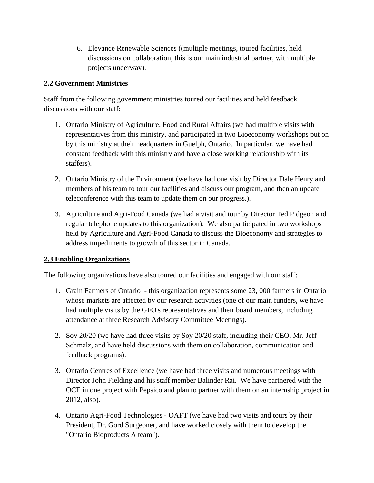6. Elevance Renewable Sciences ((multiple meetings, toured facilities, held discussions on collaboration, this is our main industrial partner, with multiple projects underway).

# **2.2 Government Ministries**

Staff from the following government ministries toured our facilities and held feedback discussions with our staff:

- 1. Ontario Ministry of Agriculture, Food and Rural Affairs (we had multiple visits with representatives from this ministry, and participated in two Bioeconomy workshops put on by this ministry at their headquarters in Guelph, Ontario. In particular, we have had constant feedback with this ministry and have a close working relationship with its staffers).
- 2. Ontario Ministry of the Environment (we have had one visit by Director Dale Henry and members of his team to tour our facilities and discuss our program, and then an update teleconference with this team to update them on our progress.).
- 3. Agriculture and Agri-Food Canada (we had a visit and tour by Director Ted Pidgeon and regular telephone updates to this organization). We also participated in two workshops held by Agriculture and Agri-Food Canada to discuss the Bioeconomy and strategies to address impediments to growth of this sector in Canada.

# **2.3 Enabling Organizations**

The following organizations have also toured our facilities and engaged with our staff:

- 1. Grain Farmers of Ontario this organization represents some 23, 000 farmers in Ontario whose markets are affected by our research activities (one of our main funders, we have had multiple visits by the GFO's representatives and their board members, including attendance at three Research Advisory Committee Meetings).
- 2. Soy 20/20 (we have had three visits by Soy 20/20 staff, including their CEO, Mr. Jeff Schmalz, and have held discussions with them on collaboration, communication and feedback programs).
- 3. Ontario Centres of Excellence (we have had three visits and numerous meetings with Director John Fielding and his staff member Balinder Rai. We have partnered with the OCE in one project with Pepsico and plan to partner with them on an internship project in 2012, also).
- 4. Ontario Agri-Food Technologies OAFT (we have had two visits and tours by their President, Dr. Gord Surgeoner, and have worked closely with them to develop the "Ontario Bioproducts A team").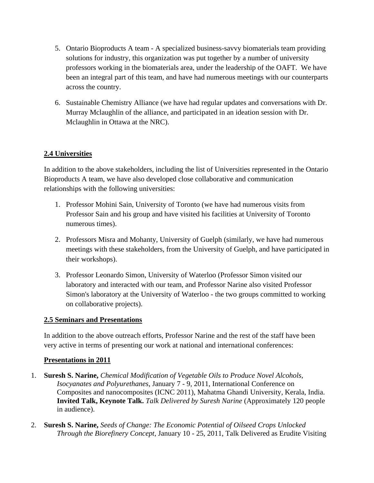- 5. Ontario Bioproducts A team A specialized business-savvy biomaterials team providing solutions for industry, this organization was put together by a number of university professors working in the biomaterials area, under the leadership of the OAFT. We have been an integral part of this team, and have had numerous meetings with our counterparts across the country.
- 6. Sustainable Chemistry Alliance (we have had regular updates and conversations with Dr. Murray Mclaughlin of the alliance, and participated in an ideation session with Dr. Mclaughlin in Ottawa at the NRC).

# **2.4 Universities**

In addition to the above stakeholders, including the list of Universities represented in the Ontario Bioproducts A team, we have also developed close collaborative and communication relationships with the following universities:

- 1. Professor Mohini Sain, University of Toronto (we have had numerous visits from Professor Sain and his group and have visited his facilities at University of Toronto numerous times).
- 2. Professors Misra and Mohanty, University of Guelph (similarly, we have had numerous meetings with these stakeholders, from the University of Guelph, and have participated in their workshops).
- 3. Professor Leonardo Simon, University of Waterloo (Professor Simon visited our laboratory and interacted with our team, and Professor Narine also visited Professor Simon's laboratory at the University of Waterloo - the two groups committed to working on collaborative projects).

### **2.5 Seminars and Presentations**

In addition to the above outreach efforts, Professor Narine and the rest of the staff have been very active in terms of presenting our work at national and international conferences:

### **Presentations in 2011**

- 1. **Suresh S. Narine,** *Chemical Modification of Vegetable Oils to Produce Novel Alcohols, Isocyanates and Polyurethanes*, January 7 - 9, 2011, International Conference on Composites and nanocomposites (ICNC 2011), Mahatma Ghandi University, Kerala, India. **Invited Talk, Keynote Talk.** *Talk Delivered by Suresh Narine* (Approximately 120 people in audience).
- 2. **Suresh S. Narine,** *Seeds of Change: The Economic Potential of Oilseed Crops Unlocked Through the Biorefinery Concept*, January 10 - 25, 2011, Talk Delivered as Erudite Visiting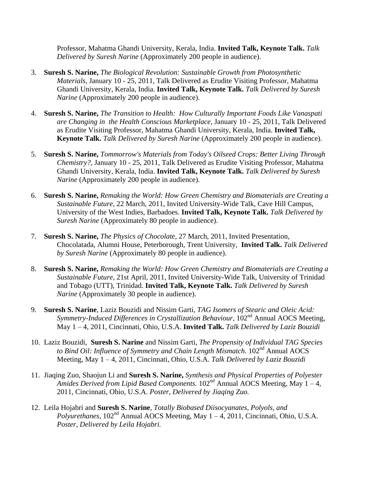Professor, Mahatma Ghandi University, Kerala, India. **Invited Talk, Keynote Talk.** *Talk Delivered by Suresh Narine* (Approximately 200 people in audience).

- 3. **Suresh S. Narine,** *The Biological Revolution: Sustainable Growth from Photosynthetic Materials*, January 10 - 25, 2011, Talk Delivered as Erudite Visiting Professor, Mahatma Ghandi University, Kerala, India. **Invited Talk, Keynote Talk.** *Talk Delivered by Suresh Narine* (Approximately 200 people in audience).
- 4. **Suresh S. Narine,** *The Transition to Health: How Culturally Important Foods Like Vanaspati are Changing in the Health Conscious Marketplace*, January 10 - 25, 2011, Talk Delivered as Erudite Visiting Professor, Mahatma Ghandi University, Kerala, India. **Invited Talk, Keynote Talk.** *Talk Delivered by Suresh Narine* (Approximately 200 people in audience).
- 5. **Suresh S. Narine,** *Tommorrow's Materials from Today's Oilseed Crops: Better Living Through Chemistry?*, January 10 - 25, 2011, Talk Delivered as Erudite Visiting Professor, Mahatma Ghandi University, Kerala, India. **Invited Talk, Keynote Talk.** *Talk Delivered by Suresh Narine* (Approximately 200 people in audience).
- 6. **Suresh S. Narine,** *Remaking the World: How Green Chemistry and Biomaterials are Creating a Sustainable Future*, 22 March, 2011, Invited University-Wide Talk, Cave Hill Campus, University of the West Indies, Barbadoes. **Invited Talk, Keynote Talk.** *Talk Delivered by Suresh Narine* (Approximately 80 people in audience).
- 7. **Suresh S. Narine,** *The Physics of Chocolate*, 27 March, 2011, Invited Presentation, Chocolatada, Alumni House, Peterborough, Trent University, **Invited Talk.** *Talk Delivered by Suresh Narine* (Approximately 80 people in audience).
- 8. **Suresh S. Narine,** *Remaking the World: How Green Chemistry and Biomaterials are Creating a Sustainable Future*, 21st April, 2011, Invited University-Wide Talk, University of Trinidad and Tobago (UTT), Trinidad. **Invited Talk, Keynote Talk.** *Talk Delivered by Suresh Narine* (Approximately 30 people in audience).
- 9. **Suresh S. Narine**, Laziz Bouzidi and Nissim Garti, *TAG Isomers of Stearic and Oleic Acid: Symmetry-Induced Differences in Crystallization Behaviour,*  $102<sup>nd</sup>$  Annual AOCS Meeting, May 1 – 4, 2011, Cincinnati, Ohio, U.S.A. **Invited Talk.** *Talk Delivered by Laziz Bouzidi*
- 10. Laziz Bouzidi, **Suresh S. Narine** and Nissim Garti, *The Propensity of Individual TAG Species*  to Bind Oil: Influence of Symmetry and Chain Length Mismatch. 102<sup>nd</sup> Annual AOCS Meeting, May 1 – 4, 2011, Cincinnati, Ohio, U.S.A. *Talk Delivered by Laziz Bouzidi*
- 11. Jiaqing Zuo, Shaojun Li and **Suresh S. Narine,** *Synthesis and Physical Properties of Polyester Amides Derived from Lipid Based Components.* 102nd Annual AOCS Meeting, May 1 – 4, 2011, Cincinnati, Ohio, U.S.A. *Poster, Delivered by Jiaqing Zuo.*
- 12. Leila Hojabri and **Suresh S. Narine**, *Totally Biobased Diisocyanates, Polyols, and Polyurethanes*,  $102<sup>nd</sup>$  Annual AOCS Meeting, May  $1 - 4$ , 2011, Cincinnati, Ohio, U.S.A. *Poster, Delivered by Leila Hojabri.*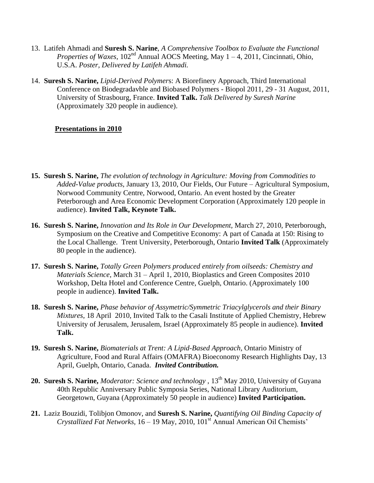- 13. Latifeh Ahmadi and **Suresh S. Narine**, *A Comprehensive Toolbox to Evaluate the Functional Properties of Waxes,*  $102<sup>nd</sup>$  Annual AOCS Meeting, May  $1 - 4$ , 2011, Cincinnati, Ohio, U.S.A. *Poster, Delivered by Latifeh Ahmadi.*
- 14. **Suresh S. Narine,** *Lipid-Derived Polymer*s: A Biorefinery Approach, Third International Conference on Biodegradavble and Biobased Polymers - Biopol 2011, 29 - 31 August, 2011, University of Strasbourg, France. **Invited Talk.** *Talk Delivered by Suresh Narine* (Approximately 320 people in audience).

### **Presentations in 2010**

- **15. Suresh S. Narine,** *The evolution of technology in Agriculture: Moving from Commodities to Added-Value products*, January 13, 2010, Our Fields, Our Future – Agricultural Symposium, Norwood Community Centre, Norwood, Ontario. An event hosted by the Greater Peterborough and Area Economic Development Corporation (Approximately 120 people in audience). **Invited Talk, Keynote Talk.**
- **16. Suresh S. Narine,** *Innovation and Its Role in Our Development,* March 27, 2010, Peterborough, Symposium on the Creative and Competitive Economy: A part of Canada at 150: Rising to the Local Challenge. Trent University, Peterborough, Ontario **Invited Talk** (Approximately 80 people in the audience).
- **17. Suresh S. Narine,** *Totally Green Polymers produced entirely from oilseeds: Chemistry and Materials Science*, March 31 – April 1, 2010, Bioplastics and Green Composites 2010 Workshop, Delta Hotel and Conference Centre, Guelph, Ontario. (Approximately 100 people in audience). **Invited Talk.**
- **18. Suresh S. Narine,** *Phase behavior of Assymetric/Symmetric Triacylglycerols and their Binary Mixtures*, 18 April 2010, Invited Talk to the Casali Institute of Applied Chemistry, Hebrew University of Jerusalem, Jerusalem, Israel (Approximately 85 people in audience). **Invited Talk.**
- **19. Suresh S. Narine,** *Biomaterials at Trent: A Lipid-Based Approach,* Ontario Ministry of Agriculture, Food and Rural Affairs (OMAFRA) Bioeconomy Research Highlights Day, 13 April, Guelph, Ontario, Canada. *Invited Contribution.*
- 20. **Suresh S. Narine,** *Moderator: Science and technology*, 13<sup>th</sup> May 2010, University of Guyana 40th Republic Anniversary Public Symposia Series, National Library Auditorium, Georgetown, Guyana (Approximately 50 people in audience) **Invited Participation.**
- **21.** Laziz Bouzidi, Tolibjon Omonov, and **Suresh S. Narine,** *Quantifying Oil Binding Capacity of Crystallized Fat Networks,* 16 – 19 May, 2010, 101<sup>st</sup> Annual American Oil Chemists'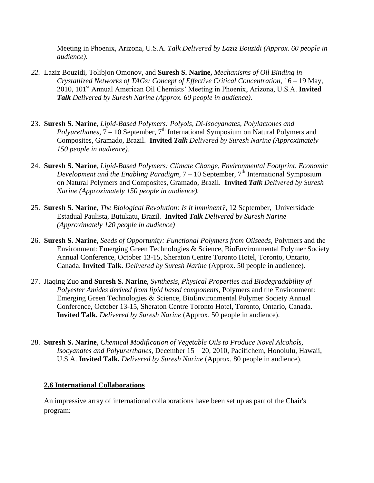Meeting in Phoenix, Arizona, U.S.A. *Talk Delivered by Laziz Bouzidi (Approx. 60 people in audience).*

- *22.* Laziz Bouzidi, Tolibjon Omonov, and **Suresh S. Narine,** *Mechanisms of Oil Binding in Crystallized Networks of TAGs: Concept of Effective Critical Concentration,* 16 – 19 May, 2010, 101st Annual American Oil Chemists' Meeting in Phoenix, Arizona, U.S.A. **Invited**  *Talk Delivered by Suresh Narine (Approx. 60 people in audience).*
- 23. **Suresh S. Narine**, *Lipid-Based Polymers: Polyols, Di-Isocyanates, Polylactones and Polyurethanes,*  $\overline{7} - 10$  September,  $7<sup>th</sup>$  International Symposium on Natural Polymers and Composites, Gramado, Brazil. **Invited** *Talk Delivered by Suresh Narine (Approximately 150 people in audience).*
- 24. **Suresh S. Narine**, *Lipid-Based Polymers: Climate Change, Environmental Footprint, Economic Development and the Enabling Paradigm,*  $7 - 10$  September, 7<sup>th</sup> International Symposium on Natural Polymers and Composites, Gramado, Brazil. **Invited** *Talk Delivered by Suresh Narine (Approximately 150 people in audience).*
- 25. **Suresh S. Narine**, *The Biological Revolution: Is it imminent?,* 12 September, Universidade Estadual Paulista, Butukatu, Brazil. **Invited** *Talk Delivered by Suresh Narine (Approximately 120 people in audience)*
- 26. **Suresh S. Narine**, *Seeds of Opportunity: Functional Polymers from Oilseeds,* Polymers and the Environment: Emerging Green Technologies & Science, BioEnvironmental Polymer Society Annual Conference, October 13-15, Sheraton Centre Toronto Hotel, Toronto, Ontario, Canada. **Invited Talk.** *Delivered by Suresh Narine* (Approx. 50 people in audience).
- 27. Jiaqing Zuo **and Suresh S. Narine**, *Synthesis, Physical Properties and Biodegradability of Polyester Amides derived from lipid based components,* Polymers and the Environment: Emerging Green Technologies & Science, BioEnvironmental Polymer Society Annual Conference, October 13-15, Sheraton Centre Toronto Hotel, Toronto, Ontario, Canada. **Invited Talk.** *Delivered by Suresh Narine* (Approx. 50 people in audience).
- 28. **Suresh S. Narine**, *Chemical Modification of Vegetable Oils to Produce Novel Alcohols, Isocyanates and Polyurerthanes,* December 15 – 20, 2010, Pacifichem, Honolulu, Hawaii, U.S.A. **Invited Talk.** *Delivered by Suresh Narine* (Approx. 80 people in audience).

### **2.6 International Collaborations**

An impressive array of international collaborations have been set up as part of the Chair's program: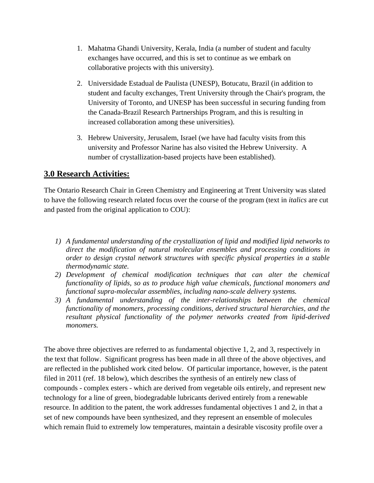- 1. Mahatma Ghandi University, Kerala, India (a number of student and faculty exchanges have occurred, and this is set to continue as we embark on collaborative projects with this university).
- 2. Universidade Estadual de Paulista (UNESP), Botucatu, Brazil (in addition to student and faculty exchanges, Trent University through the Chair's program, the University of Toronto, and UNESP has been successful in securing funding from the Canada-Brazil Research Partnerships Program, and this is resulting in increased collaboration among these universities).
- 3. Hebrew University, Jerusalem, Israel (we have had faculty visits from this university and Professor Narine has also visited the Hebrew University. A number of crystallization-based projects have been established).

# **3.0 Research Activities:**

The Ontario Research Chair in Green Chemistry and Engineering at Trent University was slated to have the following research related focus over the course of the program (text in *italics* are cut and pasted from the original application to COU):

- *1) A fundamental understanding of the crystallization of lipid and modified lipid networks to direct the modification of natural molecular ensembles and processing conditions in order to design crystal network structures with specific physical properties in a stable thermodynamic state.*
- *2) Development of chemical modification techniques that can alter the chemical functionality of lipids, so as to produce high value chemicals, functional monomers and functional supra-molecular assemblies, including nano-scale delivery systems.*
- *3) A fundamental understanding of the inter-relationships between the chemical functionality of monomers, processing conditions, derived structural hierarchies, and the resultant physical functionality of the polymer networks created from lipid-derived monomers.*

The above three objectives are referred to as fundamental objective 1, 2, and 3, respectively in the text that follow. Significant progress has been made in all three of the above objectives, and are reflected in the published work cited below. Of particular importance, however, is the patent filed in 2011 (ref. 18 below), which describes the synthesis of an entirely new class of compounds - complex esters - which are derived from vegetable oils entirely, and represent new technology for a line of green, biodegradable lubricants derived entirely from a renewable resource. In addition to the patent, the work addresses fundamental objectives 1 and 2, in that a set of new compounds have been synthesized, and they represent an ensemble of molecules which remain fluid to extremely low temperatures, maintain a desirable viscosity profile over a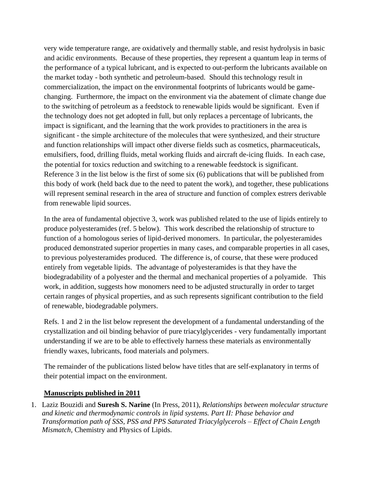very wide temperature range, are oxidatively and thermally stable, and resist hydrolysis in basic and acidic environments. Because of these properties, they represent a quantum leap in terms of the performance of a typical lubricant, and is expected to out-perform the lubricants available on the market today - both synthetic and petroleum-based. Should this technology result in commercialization, the impact on the environmental footprints of lubricants would be gamechanging. Furthermore, the impact on the environment via the abatement of climate change due to the switching of petroleum as a feedstock to renewable lipids would be significant. Even if the technology does not get adopted in full, but only replaces a percentage of lubricants, the impact is significant, and the learning that the work provides to practitioners in the area is significant - the simple architecture of the molecules that were synthesized, and their structure and function relationships will impact other diverse fields such as cosmetics, pharmaceuticals, emulsifiers, food, drilling fluids, metal working fluids and aircraft de-icing fluids. In each case, the potential for toxics reduction and switching to a renewable feedstock is significant. Reference 3 in the list below is the first of some six (6) publications that will be published from this body of work (held back due to the need to patent the work), and together, these publications will represent seminal research in the area of structure and function of complex estrers derivable from renewable lipid sources.

In the area of fundamental objective 3, work was published related to the use of lipids entirely to produce polyesteramides (ref. 5 below). This work described the relationship of structure to function of a homologous series of lipid-derived monomers. In particular, the polyesteramides produced demonstrated superior properties in many cases, and comparable properties in all cases, to previous polyesteramides produced. The difference is, of course, that these were produced entirely from vegetable lipids. The advantage of polyesteramides is that they have the biodegradability of a polyester and the thermal and mechanical properties of a polyamide. This work, in addition, suggests how monomers need to be adjusted structurally in order to target certain ranges of physical properties, and as such represents significant contribution to the field of renewable, biodegradable polymers.

Refs. 1 and 2 in the list below represent the development of a fundamental understanding of the crystallization and oil binding behavior of pure triacylglycerides - very fundamentally important understanding if we are to be able to effectively harness these materials as environmentally friendly waxes, lubricants, food materials and polymers.

The remainder of the publications listed below have titles that are self-explanatory in terms of their potential impact on the environment.

# **Manuscripts published in 2011**

1. Laziz Bouzidi and **Suresh S. Narine** (In Press, 2011), *Relationships between molecular structure and kinetic and thermodynamic controls in lipid systems. Part II: Phase behavior and Transformation path of SSS, PSS and PPS Saturated Triacylglycerols – Effect of Chain Length Mismatch,* Chemistry and Physics of Lipids.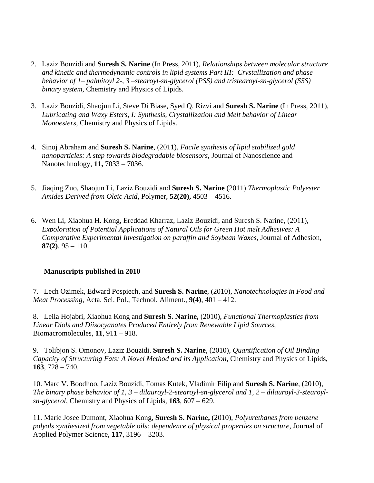- 2. Laziz Bouzidi and **Suresh S. Narine** (In Press, 2011), *Relationships between molecular structure and kinetic and thermodynamic controls in lipid systems Part III: Crystallization and phase behavior of 1– palmitoyl 2-, 3 –stearoyl-sn-glycerol (PSS) and tristearoyl-sn-glycerol (SSS) binary system,* Chemistry and Physics of Lipids.
- 3. Laziz Bouzidi, Shaojun Li, Steve Di Biase, Syed Q. Rizvi and **Suresh S. Narine** (In Press, 2011), *Lubricating and Waxy Esters, I: Synthesis, Crystallization and Melt behavior of Linear Monoesters,* Chemistry and Physics of Lipids.
- 4. Sinoj Abraham and **Suresh S. Narine**, (2011), *Facile synthesis of lipid stabilized gold nanoparticles: A step towards biodegradable biosensors*, Journal of Nanoscience and Nanotechnology, **11,** 7033 – 7036.
- 5. Jiaqing Zuo, Shaojun Li, Laziz Bouzidi and **Suresh S. Narine** (2011) *Thermoplastic Polyester Amides Derived from Oleic Acid,* Polymer, **52(20),** 4503 – 4516.
- 6. Wen Li, Xiaohua H. Kong, Ereddad Kharraz, Laziz Bouzidi, and Suresh S. Narine, (2011), *Expoloration of Potential Applications of Natural Oils for Green Hot melt Adhesives: A Comparative Experimental Investigation on paraffin and Soybean Waxes, Journal of Adhesion,* **87(2)**, 95 – 110.

# **Manuscripts published in 2010**

7. Lech Ozimek, Edward Pospiech, and **Suresh S. Narine**, (2010), *Nanotechnologies in Food and Meat Processing,* Acta. Sci. Pol., Technol. Aliment., **9(4)**, 401 – 412.

8. Leila Hojabri, Xiaohua Kong and **Suresh S. Narine,** (2010), *Functional Thermoplastics from Linear Diols and Diisocyanates Produced Entirely from Renewable Lipid Sources,*  Biomacromolecules, **11**, 911 – 918.

9. Tolibjon S. Omonov, Laziz Bouzidi, **Suresh S. Narine**, (2010), *[Quantification of Oil Binding](http://nl.sitestat.com/elsevier/elsevier-com/s?sciencedirect&ns_type=clickout&ns_url=http://www.sciencedirect.com/science?_ob=GatewayURL&_origin=IRSSCONTENT&_method=citationSearch&_piikey=S0009308410003257&_version=1&md5=b99b8907215623518a5ccf7b10d0ed69)  [Capacity of Structuring Fats: A Novel Method and its Application](http://nl.sitestat.com/elsevier/elsevier-com/s?sciencedirect&ns_type=clickout&ns_url=http://www.sciencedirect.com/science?_ob=GatewayURL&_origin=IRSSCONTENT&_method=citationSearch&_piikey=S0009308410003257&_version=1&md5=b99b8907215623518a5ccf7b10d0ed69)*, Chemistry and Physics of Lipids, **[163](http://nl.sitestat.com/elsevier/elsevier-com/s?sciencedirect&ns_type=clickout&ns_url=http://www.sciencedirect.com/science?_ob=GatewayURL&_origin=IRSSCONTENT&_method=citationSearch&_piikey=S0009308410003257&_version=1&md5=b99b8907215623518a5ccf7b10d0ed69)**, 728 – 740.

10. Marc V. Boodhoo, Laziz Bouzidi, Tomas Kutek, Vladimir Filip and **Suresh S. Narine**, (2010), *The binary phase behavior of 1, 3 – dilauroyl-2-stearoyl-sn-glycerol and 1, 2 – dilauroyl-3-stearoylsn-glycerol*, Chemistry and Physics of Lipids, **163**, 607 – 629.

11. Marie Josee Dumont, Xiaohua Kong, **Suresh S. Narine,** (2010), *Polyurethanes from benzene polyols synthesized from vegetable oils: dependence of physical properties on structure*, Journal of Applied Polymer Science, **117**, 3196 – 3203.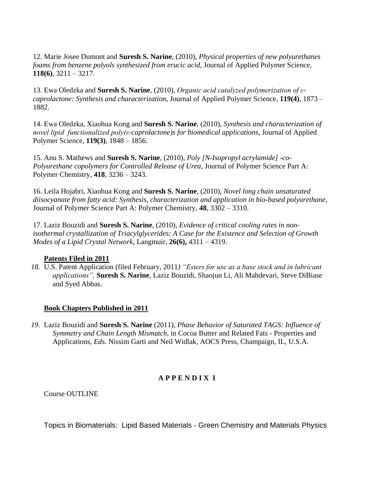12. Marie Josee Dumont and **Suresh S. Narine**, (2010), *Physical properties of new polyurethanes foams from benzene polyols synthesized from erucic acid*, Journal of Applied Polymer Science, **118(6)**, 3211 – 3217.

13. Ewa Oledzka and **Suresh S. Narine**, (2010), *Organic acid catalyzed polymerization of εcaprolactone: Synthesis and characterization*, Journal of Applied Polymer Science, **119(4)**, 1873 – 1882.

14. Ewa Oledzka, Xiaohua Kong and **Suresh S. Narine**, (2010), *Synthesis and characterization of novel lipid functionalized poly(ε-caprolactone)s for biomedical applications*, Journal of Applied Polymer Science, **119(3)**, 1848 – 1856.

15. Anu S. Mathews and **Suresh S. Narine**, (2010), *Poly [N-Isopropyl acrylamide] -co-Polyurethane copolymers for Controlled Release of Urea*, Journal of Polymer Science Part A: Polymer Chemistry, **418**, 3236 – 3243.

16. Leila Hojabri, Xiaohua Kong and **Suresh S. Narine**, (2010), *Novel long chain unsaturated diisocyanate from fatty acid: Synthesis, characterization and application in bio-based polyurethane*, Journal of Polymer Science Part A: Polymer Chemistry, **48**, 3302 – 3310.

17. Laziz Bouzidi and **Suresh S. Narine**, (2010), *Evidence of critical cooling rates in nonisothermal crystallization of Triacylglycerides: A Case for the Existence and Selection of Growth Modes of a Lipid Crystal Network*, Langmuir, **26(6),** 4311 – 4319.

# **Patents Filed in 2011**

*18.* U.S. Patent Application (filed February, 2011*) "Esters for use as a base stock and in lubricant applications",* **Suresh S. Narine**, Laziz Bouzidi, Shaojun Li, Ali Mahdevari, Steve DiBiase and Syed Abbas.

# **Book Chapters Published in 2011**

*19.* Laziz Bouzidi and **Suresh S. Narine** (2011), *Phase Behavior of Saturated TAGS: Influence of Symmetry and Chain Length Mismatch*, in Cocoa Butter and Related Fats - Properties and Applications, *Eds.* Nissim Garti and Neil Widlak, AOCS Press, Champaign, IL, U.S.A.

# **A P P E N D I X I**

Course OUTLINE

Topics in Biomaterials: Lipid Based Materials - Green Chemistry and Materials Physics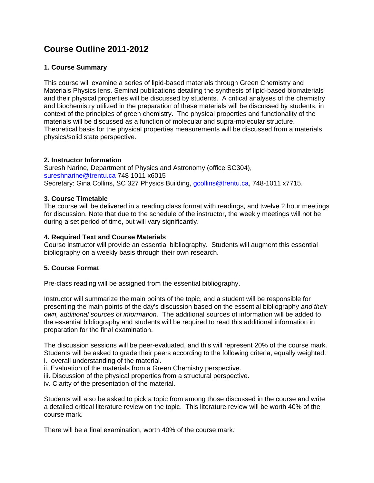# **Course Outline 2011-2012**

### **1. Course Summary**

This course will examine a series of lipid-based materials through Green Chemistry and Materials Physics lens. Seminal publications detailing the synthesis of lipid-based biomaterials and their physical properties will be discussed by students. A critical analyses of the chemistry and biochemistry utilized in the preparation of these materials will be discussed by students, in context of the principles of green chemistry. The physical properties and functionality of the materials will be discussed as a function of molecular and supra-molecular structure. Theoretical basis for the physical properties measurements will be discussed from a materials physics/solid state perspective.

### **2. Instructor Information**

Suresh Narine, Department of Physics and Astronomy (office SC304), sureshnarine@trentu.ca 748 1011 x6015 Secretary: Gina Collins, SC 327 Physics Building, gcollins@trentu.ca, 748-1011 x7715.

### **3. Course Timetable**

The course will be delivered in a reading class format with readings, and twelve 2 hour meetings for discussion. Note that due to the schedule of the instructor, the weekly meetings will not be during a set period of time, but will vary significantly.

#### **4. Required Text and Course Materials**

Course instructor will provide an essential bibliography. Students will augment this essential bibliography on a weekly basis through their own research.

### **5. Course Format**

Pre-class reading will be assigned from the essential bibliography.

Instructor will summarize the main points of the topic, and a student will be responsible for presenting the main points of the day's discussion based on the essential bibliography *and their own, additional sources of information.* The additional sources of information will be added to the essential bibliography and students will be required to read this additional information in preparation for the final examination.

The discussion sessions will be peer-evaluated, and this will represent 20% of the course mark. Students will be asked to grade their peers according to the following criteria, equally weighted: i. overall understanding of the material.

- ii. Evaluation of the materials from a Green Chemistry perspective.
- iii. Discussion of the physical properties from a structural perspective.
- iv. Clarity of the presentation of the material.

Students will also be asked to pick a topic from among those discussed in the course and write a detailed critical literature review on the topic. This literature review will be worth 40% of the course mark.

There will be a final examination, worth 40% of the course mark.